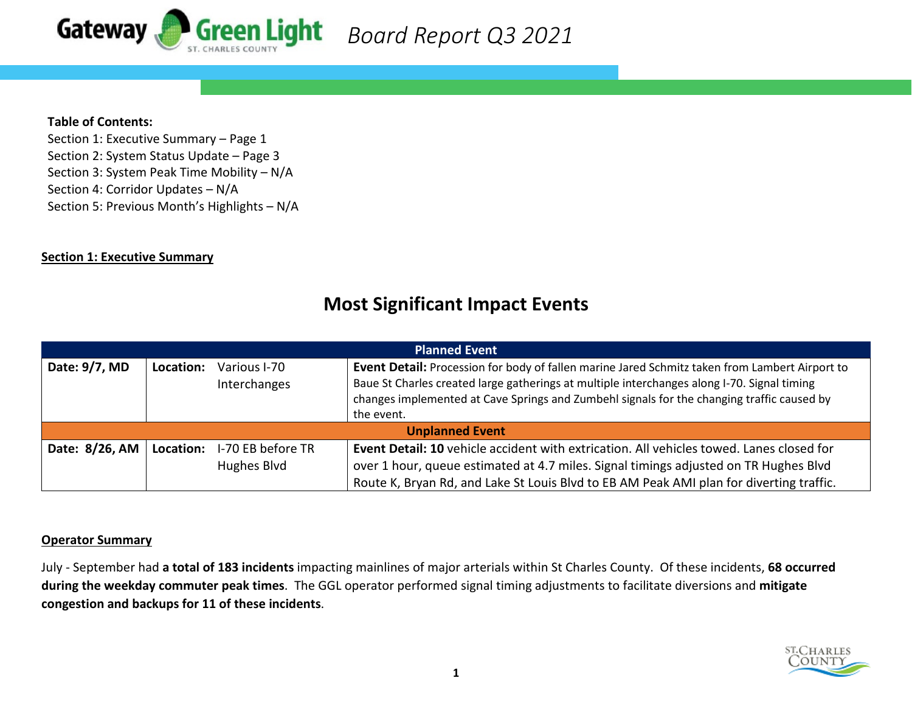

## **Table of Contents:**

Section 1: Executive Summary – Page 1 Section 2: System Status Update – Page 3 Section 3: System Peak Time Mobility – N/A Section 4: Corridor Updates – N/A Section 5: Previous Month's Highlights – N/A

#### **Section 1: Executive Summary**

| <b>Planned Event</b>   |                                           |                                  |                                                                                                                                                                                                                                                                                                           |  |  |  |  |  |
|------------------------|-------------------------------------------|----------------------------------|-----------------------------------------------------------------------------------------------------------------------------------------------------------------------------------------------------------------------------------------------------------------------------------------------------------|--|--|--|--|--|
| Date: 9/7, MD          | Location:<br>Various I-70<br>Interchanges |                                  | Event Detail: Procession for body of fallen marine Jared Schmitz taken from Lambert Airport to<br>Baue St Charles created large gatherings at multiple interchanges along I-70. Signal timing<br>changes implemented at Cave Springs and Zumbehl signals for the changing traffic caused by<br>the event. |  |  |  |  |  |
| <b>Unplanned Event</b> |                                           |                                  |                                                                                                                                                                                                                                                                                                           |  |  |  |  |  |
| Date: 8/26, AM         | Location:                                 | I-70 EB before TR<br>Hughes Blvd | <b>Event Detail: 10</b> vehicle accident with extrication. All vehicles towed. Lanes closed for<br>over 1 hour, queue estimated at 4.7 miles. Signal timings adjusted on TR Hughes Blvd<br>Route K, Bryan Rd, and Lake St Louis Blvd to EB AM Peak AMI plan for diverting traffic.                        |  |  |  |  |  |

## **Most Significant Impact Events**

## **Operator Summary**

July - September had **a total of 183 incidents** impacting mainlines of major arterials within St Charles County. Of these incidents, **68 occurred during the weekday commuter peak times**. The GGL operator performed signal timing adjustments to facilitate diversions and **mitigate congestion and backups for 11 of these incidents**.

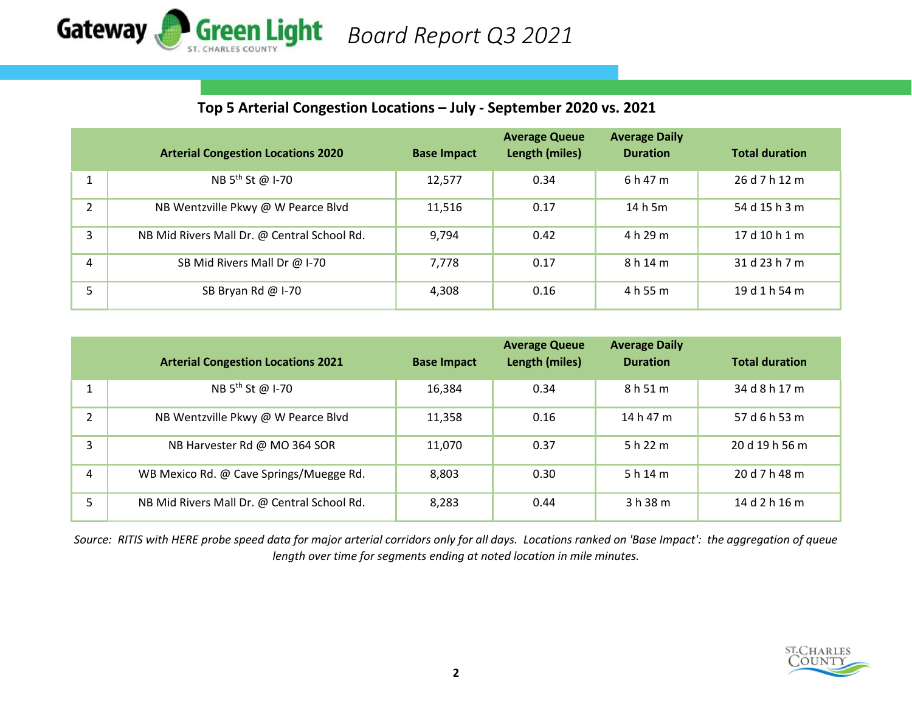

## **Top 5 Arterial Congestion Locations – July - September 2020 vs. 2021**

|               | <b>Arterial Congestion Locations 2020</b>   | <b>Base Impact</b> | <b>Average Queue</b><br>Length (miles) | <b>Average Daily</b><br><b>Duration</b> | <b>Total duration</b> |
|---------------|---------------------------------------------|--------------------|----------------------------------------|-----------------------------------------|-----------------------|
|               | NB 5 <sup>th</sup> St @ I-70                | 12,577             | 0.34                                   | 6 h 47 m                                | 26 d 7 h 12 m         |
| $\mathcal{P}$ | NB Wentzville Pkwy @ W Pearce Blvd          | 11,516             | 0.17                                   | 14 h 5m                                 | 54 d 15 h 3 m         |
| 3             | NB Mid Rivers Mall Dr. @ Central School Rd. | 9,794              | 0.42                                   | 4 h 29 m                                | 17 d 10 h 1 m         |
| 4             | SB Mid Rivers Mall Dr @ I-70                | 7,778              | 0.17                                   | 8 h 14 m                                | 31 d 23 h 7 m         |
|               | SB Bryan Rd @ I-70                          | 4,308              | 0.16                                   | 4 h 55 m                                | 19 d 1 h 54 m         |

|                | <b>Arterial Congestion Locations 2021</b>   | <b>Base Impact</b> | <b>Average Queue</b><br>Length (miles) | <b>Average Daily</b><br><b>Duration</b> | <b>Total duration</b> |
|----------------|---------------------------------------------|--------------------|----------------------------------------|-----------------------------------------|-----------------------|
|                | NB 5 <sup>th</sup> St @ I-70                | 16,384             | 0.34                                   | 8 h 51 m                                | 34 d 8 h 17 m         |
| $\mathfrak{D}$ | NB Wentzville Pkwy @ W Pearce Blvd          | 11,358             | 0.16                                   | 14 h 47 m                               | 57 d 6 h 53 m         |
| 3              | NB Harvester Rd @ MO 364 SOR                | 11,070             | 0.37                                   | 5 h 22 m                                | 20d19h56m             |
| 4              | WB Mexico Rd. @ Cave Springs/Muegge Rd.     | 8,803              | 0.30                                   | 5h14m                                   | 20 d 7 h 48 m         |
| 5              | NB Mid Rivers Mall Dr. @ Central School Rd. | 8,283              | 0.44                                   | 3 h 38 m                                | 14 d 2 h 16 m         |

*Source: RITIS with HERE probe speed data for major arterial corridors only for all days. Locations ranked on 'Base Impact': the aggregation of queue length over time for segments ending at noted location in mile minutes.*

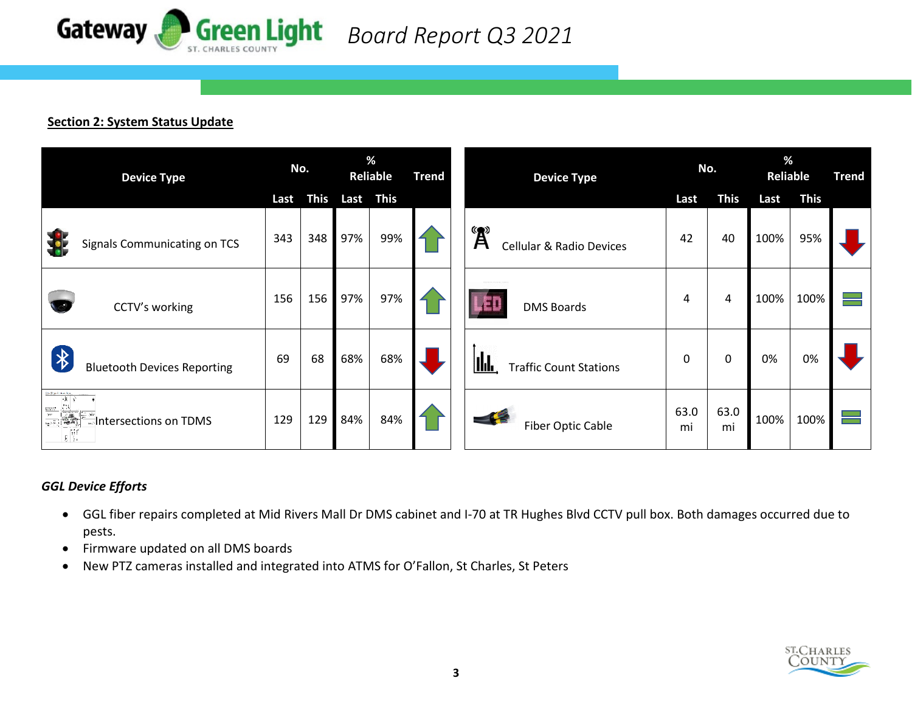

## **Section 2: System Status Update**

| <b>Device Type</b>                                                                                                                                                                                                                                                                                     |      | No.         |           | %<br>Reliable<br><b>Trend</b> |  | <b>Device Type</b> |                                                                  | No.        |             | %<br><b>Reliable</b> |             | <b>Trend</b> |
|--------------------------------------------------------------------------------------------------------------------------------------------------------------------------------------------------------------------------------------------------------------------------------------------------------|------|-------------|-----------|-------------------------------|--|--------------------|------------------------------------------------------------------|------------|-------------|----------------------|-------------|--------------|
|                                                                                                                                                                                                                                                                                                        | Last | <b>This</b> | Last This |                               |  |                    |                                                                  | Last       | <b>This</b> | Last                 | <b>This</b> |              |
| Signals Communicating on TCS                                                                                                                                                                                                                                                                           | 343  | 348         | 97%       | 99%                           |  |                    | $\mathbf{A}^{\mathbf{B}}$<br><b>Cellular &amp; Radio Devices</b> | 42         | 40          | 100%                 | 95%         |              |
| CCTV's working                                                                                                                                                                                                                                                                                         | 156  | 156         | 97%       | 97%                           |  |                    | للاكر<br><b>DMS Boards</b>                                       | 4          | 4           | 100%                 | 100%        |              |
| $\bigl( \begin{smallmatrix} \ast \ * \ * \end{smallmatrix} \bigr)$<br><b>Bluetooth Devices Reporting</b>                                                                                                                                                                                               | 69   | 68          | 68%       | 68%                           |  |                    | IId.<br><b>Traffic Count Stations</b>                            | 0          | 0           | 0%                   | 0%          |              |
| $\begin{tabular}{c c} \hline in the time by, \\ \hline \hline & \bullet \end{tabular}$<br>$\frac{\frac{1}{\left \frac{1}{\mathbf{1}}\right }\left \frac{1}{\mathbf{1}}\right }{\frac{1}{\mathbf{1}}\left \frac{1}{\mathbf{1}}\right }\left \frac{1}{\mathbf{1}}\right ,$<br>Intersections on TDMS<br>鬸 | 129  | 129         | 84%       | 84%                           |  |                    | <b>Fiber Optic Cable</b>                                         | 63.0<br>mi | 63.0<br>mi  | 100%                 | 100%        |              |

## *GGL Device Efforts*

- GGL fiber repairs completed at Mid Rivers Mall Dr DMS cabinet and I-70 at TR Hughes Blvd CCTV pull box. Both damages occurred due to pests.
- Firmware updated on all DMS boards
- New PTZ cameras installed and integrated into ATMS for O'Fallon, St Charles, St Peters

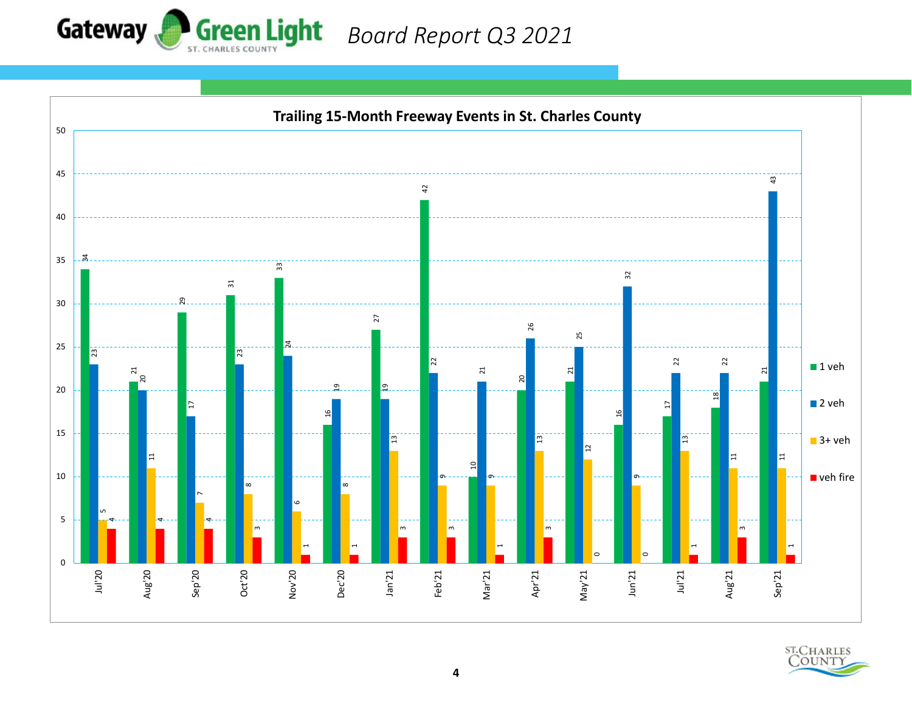